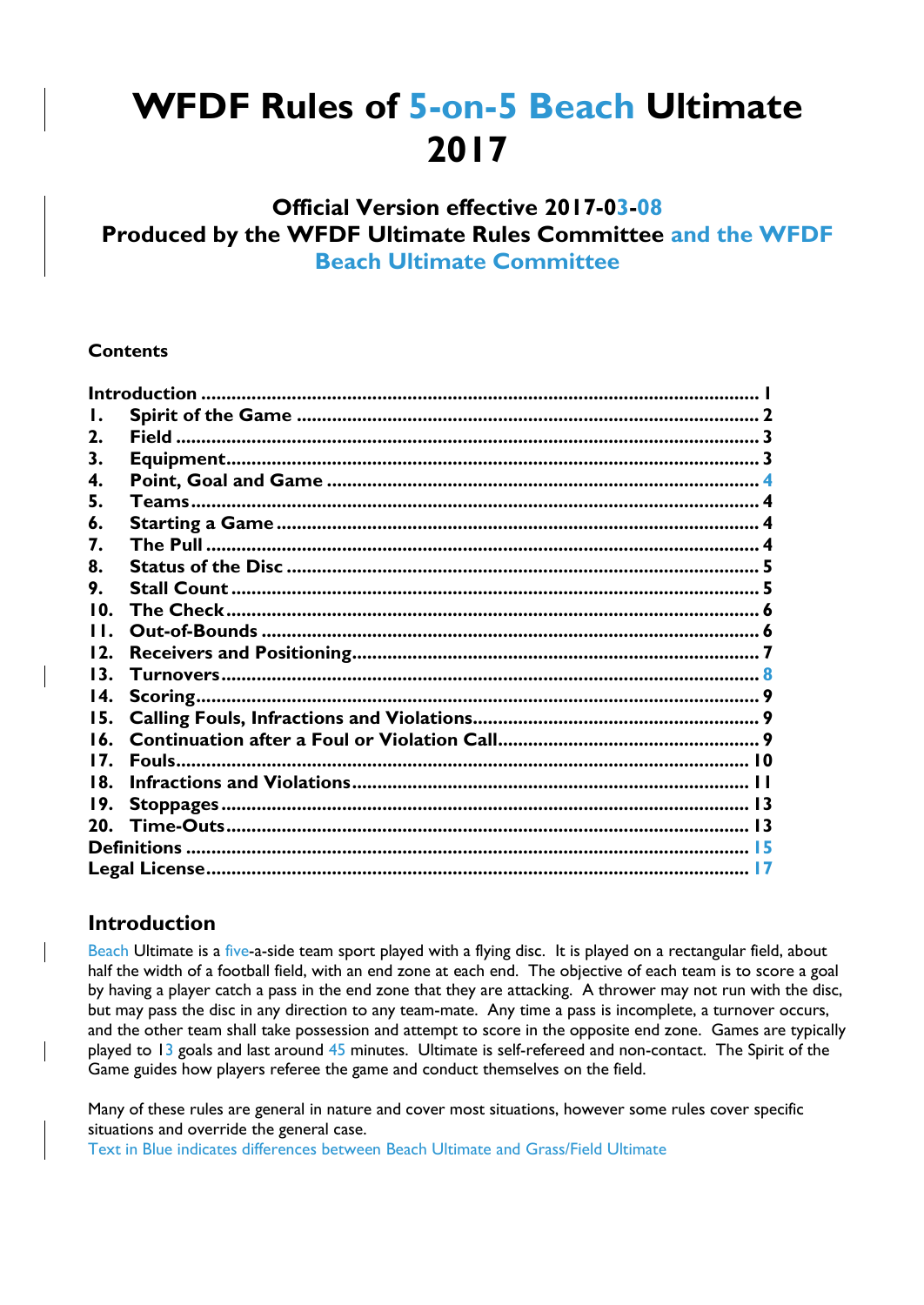# **WFDF Rules of 5-on-5 Beach Ultimate 2017**

# **Official Version effective 2017-03-08 Produced by the WFDF Ultimate Rules Committee and the WFDF Beach Ultimate Committee**

#### **Contents**

| Ι.  |  |  |  |  |
|-----|--|--|--|--|
| 2.  |  |  |  |  |
| З.  |  |  |  |  |
| 4.  |  |  |  |  |
| 5.  |  |  |  |  |
| 6.  |  |  |  |  |
| 7.  |  |  |  |  |
| 8.  |  |  |  |  |
| 9.  |  |  |  |  |
| 10. |  |  |  |  |
| H.  |  |  |  |  |
| 12. |  |  |  |  |
| 13. |  |  |  |  |
| 14. |  |  |  |  |
| 15. |  |  |  |  |
| 16. |  |  |  |  |
| 17. |  |  |  |  |
| 18. |  |  |  |  |
| 19. |  |  |  |  |
| 20. |  |  |  |  |
|     |  |  |  |  |
|     |  |  |  |  |

#### **Introduction**

Beach Ultimate is a five-a-side team sport played with a flying disc. It is played on a rectangular field, about half the width of a football field, with an end zone at each end. The objective of each team is to score a goal by having a player catch a pass in the end zone that they are attacking. A thrower may not run with the disc, but may pass the disc in any direction to any team-mate. Any time a pass is incomplete, a turnover occurs, and the other team shall take possession and attempt to score in the opposite end zone. Games are typically played to 13 goals and last around 45 minutes. Ultimate is self-refereed and non-contact. The Spirit of the Game guides how players referee the game and conduct themselves on the field.

Many of these rules are general in nature and cover most situations, however some rules cover specific situations and override the general case.

Text in Blue indicates differences between Beach Ultimate and Grass/Field Ultimate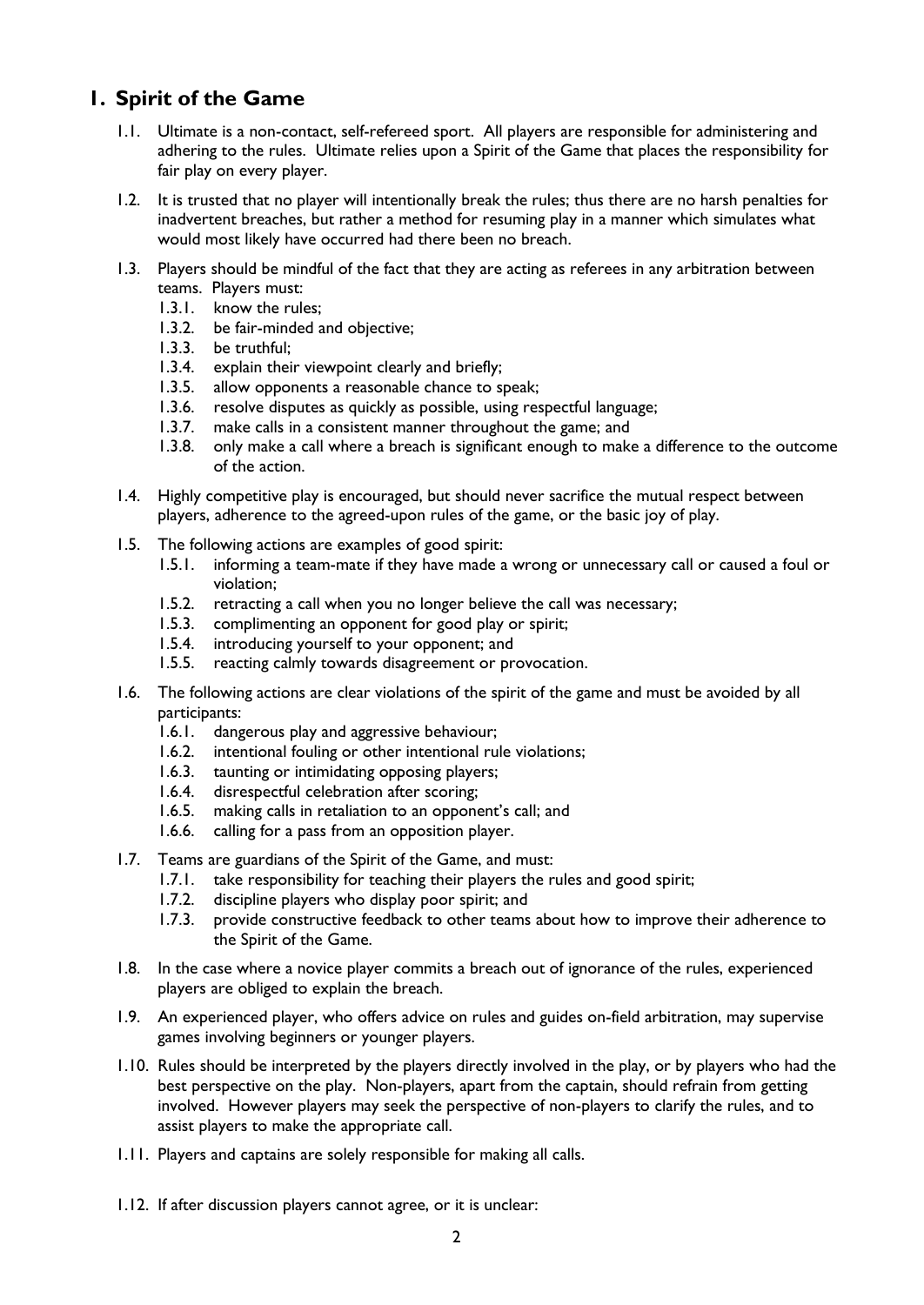# **1. Spirit of the Game**

- 1.1. Ultimate is a non-contact, self-refereed sport. All players are responsible for administering and adhering to the rules. Ultimate relies upon a Spirit of the Game that places the responsibility for fair play on every player.
- 1.2. It is trusted that no player will intentionally break the rules; thus there are no harsh penalties for inadvertent breaches, but rather a method for resuming play in a manner which simulates what would most likely have occurred had there been no breach.
- 1.3. Players should be mindful of the fact that they are acting as referees in any arbitration between teams. Players must:
	- 1.3.1. know the rules;
	- 1.3.2. be fair-minded and objective;
	- 1.3.3. be truthful;
	- 1.3.4. explain their viewpoint clearly and briefly;
	- 1.3.5. allow opponents a reasonable chance to speak;
	- 1.3.6. resolve disputes as quickly as possible, using respectful language;
	- 1.3.7. make calls in a consistent manner throughout the game; and
	- 1.3.8. only make a call where a breach is significant enough to make a difference to the outcome of the action.
- 1.4. Highly competitive play is encouraged, but should never sacrifice the mutual respect between players, adherence to the agreed-upon rules of the game, or the basic joy of play.
- 1.5. The following actions are examples of good spirit:
	- 1.5.1. informing a team-mate if they have made a wrong or unnecessary call or caused a foul or violation;
	- 1.5.2. retracting a call when you no longer believe the call was necessary;
	- 1.5.3. complimenting an opponent for good play or spirit;
	- 1.5.4. introducing yourself to your opponent; and
	- 1.5.5. reacting calmly towards disagreement or provocation.
- 1.6. The following actions are clear violations of the spirit of the game and must be avoided by all participants:
	- 1.6.1. dangerous play and aggressive behaviour;
	- 1.6.2. intentional fouling or other intentional rule violations;
	- 1.6.3. taunting or intimidating opposing players;
	- 1.6.4. disrespectful celebration after scoring;
	- 1.6.5. making calls in retaliation to an opponent's call; and
	- 1.6.6. calling for a pass from an opposition player.
- 1.7. Teams are guardians of the Spirit of the Game, and must:
	- 1.7.1. take responsibility for teaching their players the rules and good spirit;
	- 1.7.2. discipline players who display poor spirit; and
	- 1.7.3. provide constructive feedback to other teams about how to improve their adherence to the Spirit of the Game.
- 1.8. In the case where a novice player commits a breach out of ignorance of the rules, experienced players are obliged to explain the breach.
- 1.9. An experienced player, who offers advice on rules and guides on-field arbitration, may supervise games involving beginners or younger players.
- 1.10. Rules should be interpreted by the players directly involved in the play, or by players who had the best perspective on the play. Non-players, apart from the captain, should refrain from getting involved. However players may seek the perspective of non-players to clarify the rules, and to assist players to make the appropriate call.
- 1.11. Players and captains are solely responsible for making all calls.
- 1.12. If after discussion players cannot agree, or it is unclear: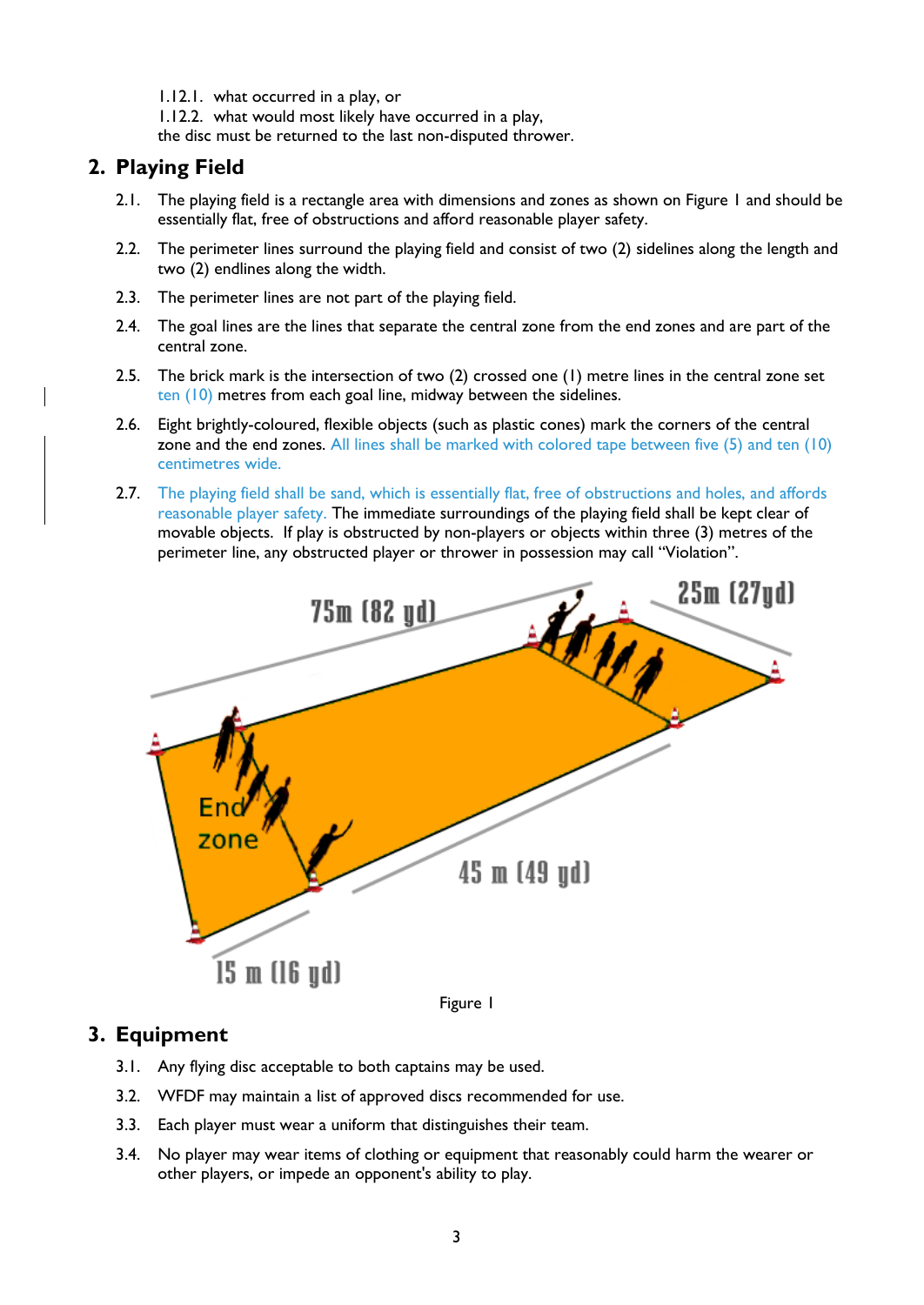1.12.1. what occurred in a play, or

1.12.2. what would most likely have occurred in a play,

the disc must be returned to the last non-disputed thrower.

# **2. Playing Field**

- 2.1. The playing field is a rectangle area with dimensions and zones as shown on Figure 1 and should be essentially flat, free of obstructions and afford reasonable player safety.
- 2.2. The perimeter lines surround the playing field and consist of two (2) sidelines along the length and two (2) endlines along the width.
- 2.3. The perimeter lines are not part of the playing field.
- 2.4. The goal lines are the lines that separate the central zone from the end zones and are part of the central zone.
- 2.5. The brick mark is the intersection of two (2) crossed one (1) metre lines in the central zone set ten (10) metres from each goal line, midway between the sidelines.
- 2.6. Eight brightly-coloured, flexible objects (such as plastic cones) mark the corners of the central zone and the end zones. All lines shall be marked with colored tape between five (5) and ten (10) centimetres wide.
- 2.7. The playing field shall be sand, which is essentially flat, free of obstructions and holes, and affords reasonable player safety. The immediate surroundings of the playing field shall be kept clear of movable objects. If play is obstructed by non-players or objects within three (3) metres of the perimeter line, any obstructed player or thrower in possession may call "Violation".



Figure 1

#### **3. Equipment**

- 3.1. Any flying disc acceptable to both captains may be used.
- 3.2. WFDF may maintain a list of approved discs recommended for use.
- 3.3. Each player must wear a uniform that distinguishes their team.
- 3.4. No player may wear items of clothing or equipment that reasonably could harm the wearer or other players, or impede an opponent's ability to play.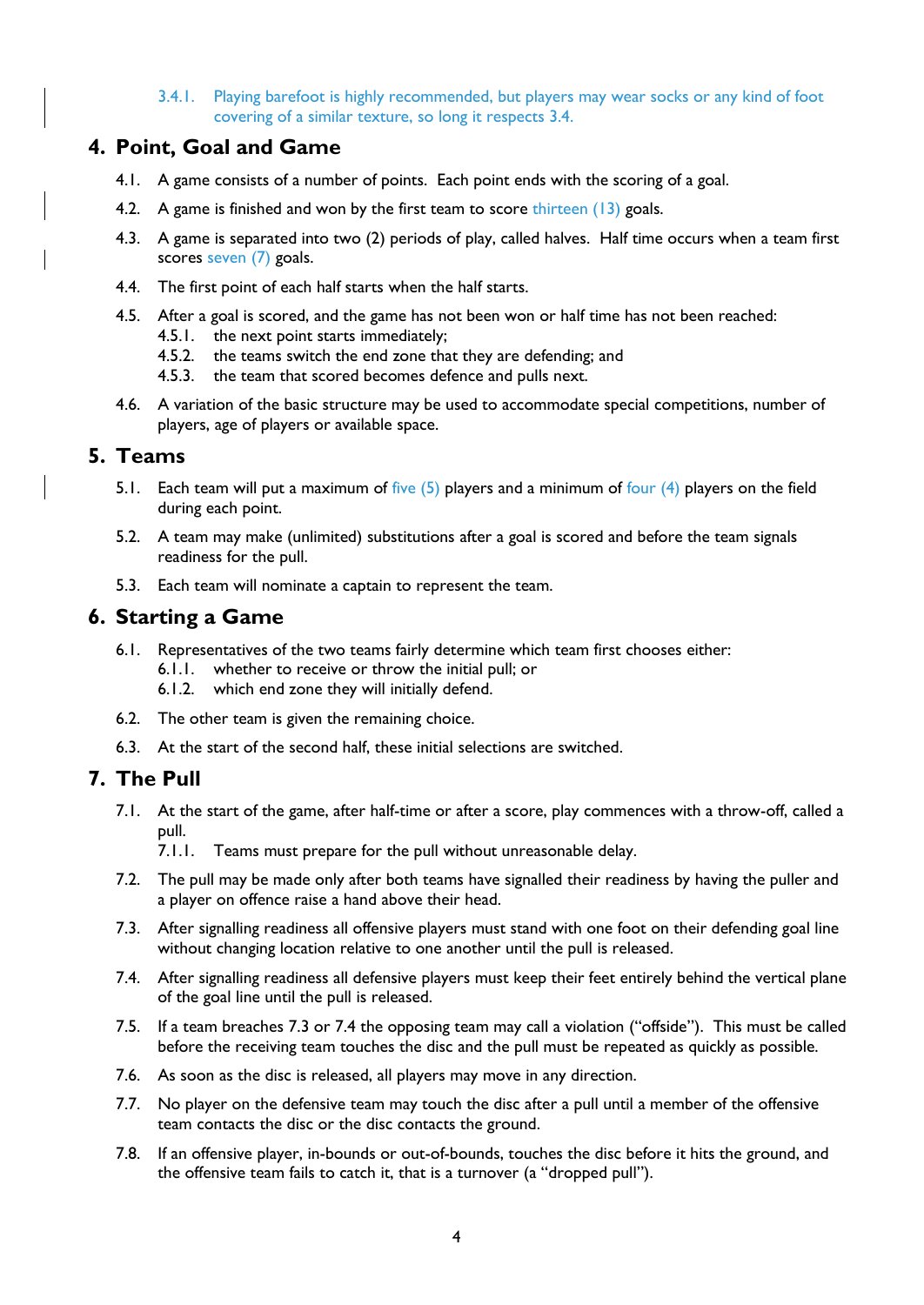3.4.1. Playing barefoot is highly recommended, but players may wear socks or any kind of foot covering of a similar texture, so long it respects 3.4.

#### **4. Point, Goal and Game**

- 4.1. A game consists of a number of points. Each point ends with the scoring of a goal.
- 4.2. A game is finished and won by the first team to score thirteen (13) goals.
- 4.3. A game is separated into two (2) periods of play, called halves. Half time occurs when a team first scores seven (7) goals.
- 4.4. The first point of each half starts when the half starts.
- 4.5. After a goal is scored, and the game has not been won or half time has not been reached:
	- 4.5.1. the next point starts immediately;
	- 4.5.2. the teams switch the end zone that they are defending; and
	- 4.5.3. the team that scored becomes defence and pulls next.
- 4.6. A variation of the basic structure may be used to accommodate special competitions, number of players, age of players or available space.

#### **5. Teams**

- 5.1. Each team will put a maximum of five (5) players and a minimum of four (4) players on the field during each point.
- 5.2. A team may make (unlimited) substitutions after a goal is scored and before the team signals readiness for the pull.
- 5.3. Each team will nominate a captain to represent the team.

## **6. Starting a Game**

- 6.1. Representatives of the two teams fairly determine which team first chooses either:
	- 6.1.1. whether to receive or throw the initial pull; or
	- 6.1.2. which end zone they will initially defend.
- 6.2. The other team is given the remaining choice.
- 6.3. At the start of the second half, these initial selections are switched.

# **7. The Pull**

7.1. At the start of the game, after half-time or after a score, play commences with a throw-off, called a pull.

7.1.1. Teams must prepare for the pull without unreasonable delay.

- 7.2. The pull may be made only after both teams have signalled their readiness by having the puller and a player on offence raise a hand above their head.
- <span id="page-3-0"></span>7.3. After signalling readiness all offensive players must stand with one foot on their defending goal line without changing location relative to one another until the pull is released.
- <span id="page-3-1"></span>7.4. After signalling readiness all defensive players must keep their feet entirely behind the vertical plane of the goal line until the pull is released.
- 7.5. If a team breaches [7.3](#page-3-0) or [7.4](#page-3-1) the opposing team may call a violation ("offside"). This must be called before the receiving team touches the disc and the pull must be repeated as quickly as possible.
- 7.6. As soon as the disc is released, all players may move in any direction.
- 7.7. No player on the defensive team may touch the disc after a pull until a member of the offensive team contacts the disc or the disc contacts the ground.
- 7.8. If an offensive player, in-bounds or out-of-bounds, touches the disc before it hits the ground, and the offensive team fails to catch it, that is a turnover (a "dropped pull").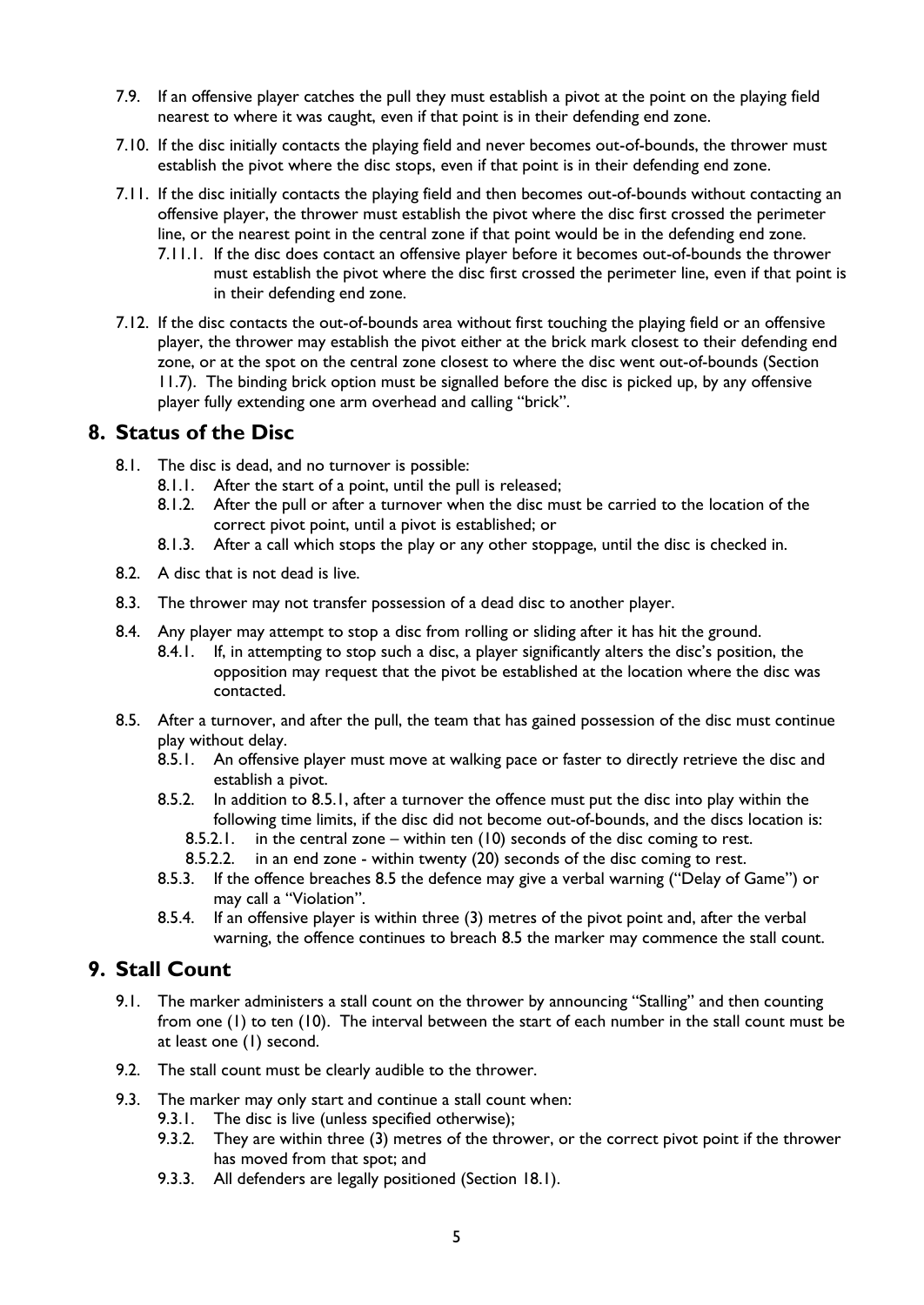- 7.9. If an offensive player catches the pull they must establish a pivot at the point on the playing field nearest to where it was caught, even if that point is in their defending end zone.
- 7.10. If the disc initially contacts the playing field and never becomes out-of-bounds, the thrower must establish the pivot where the disc stops, even if that point is in their defending end zone.
- 7.11. If the disc initially contacts the playing field and then becomes out-of-bounds without contacting an offensive player, the thrower must establish the pivot where the disc first crossed the perimeter line, or the nearest point in the central zone if that point would be in the defending end zone.
	- 7.11.1. If the disc does contact an offensive player before it becomes out-of-bounds the thrower must establish the pivot where the disc first crossed the perimeter line, even if that point is in their defending end zone.
- 7.12. If the disc contacts the out-of-bounds area without first touching the playing field or an offensive player, the thrower may establish the pivot either at the brick mark closest to their defending end zone, or at the spot on the central zone closest to where the disc went out-of-bounds (Section [11.7\)](#page-6-0). The binding brick option must be signalled before the disc is picked up, by any offensive player fully extending one arm overhead and calling "brick".

#### **8. Status of the Disc**

- 8.1. The disc is dead, and no turnover is possible:
	- 8.1.1. After the start of a point, until the pull is released;
	- 8.1.2. After the pull or after a turnover when the disc must be carried to the location of the correct pivot point, until a pivot is established; or
	- 8.1.3. After a call which stops the play or any other stoppage, until the disc is checked in.
- 8.2. A disc that is not dead is live.
- 8.3. The thrower may not transfer possession of a dead disc to another player.
- 8.4. Any player may attempt to stop a disc from rolling or sliding after it has hit the ground.
	- 8.4.1. If, in attempting to stop such a disc, a player significantly alters the disc's position, the opposition may request that the pivot be established at the location where the disc was contacted.
- <span id="page-4-1"></span><span id="page-4-0"></span>8.5. After a turnover, and after the pull, the team that has gained possession of the disc must continue play without delay.
	- 8.5.1. An offensive player must move at walking pace or faster to directly retrieve the disc and establish a pivot.
	- 8.5.2. In addition to [8.5.1,](#page-4-0) after a turnover the offence must put the disc into play within the following time limits, if the disc did not become out-of-bounds, and the discs location is:
		- 8.5.2.1. in the central zone within ten (10) seconds of the disc coming to rest.
		- 8.5.2.2. in an end zone within twenty (20) seconds of the disc coming to rest.
	- 8.5.3. If the offence breaches [8.5](#page-4-1) the defence may give a verbal warning ("Delay of Game") or may call a "Violation".
	- 8.5.4. If an offensive player is within three (3) metres of the pivot point and, after the verbal warning, the offence continues to breach [8.5](#page-4-1) the marker may commence the stall count.

#### **9. Stall Count**

- 9.1. The marker administers a stall count on the thrower by announcing "Stalling" and then counting from one (1) to ten (10). The interval between the start of each number in the stall count must be at least one (1) second.
- 9.2. The stall count must be clearly audible to the thrower.
- 9.3. The marker may only start and continue a stall count when:
	- 9.3.1. The disc is live (unless specified otherwise);
	- 9.3.2. They are within three (3) metres of the thrower, or the correct pivot point if the thrower has moved from that spot; and
	- 9.3.3. All defenders are legally positioned (Section [18.1\)](#page-10-0).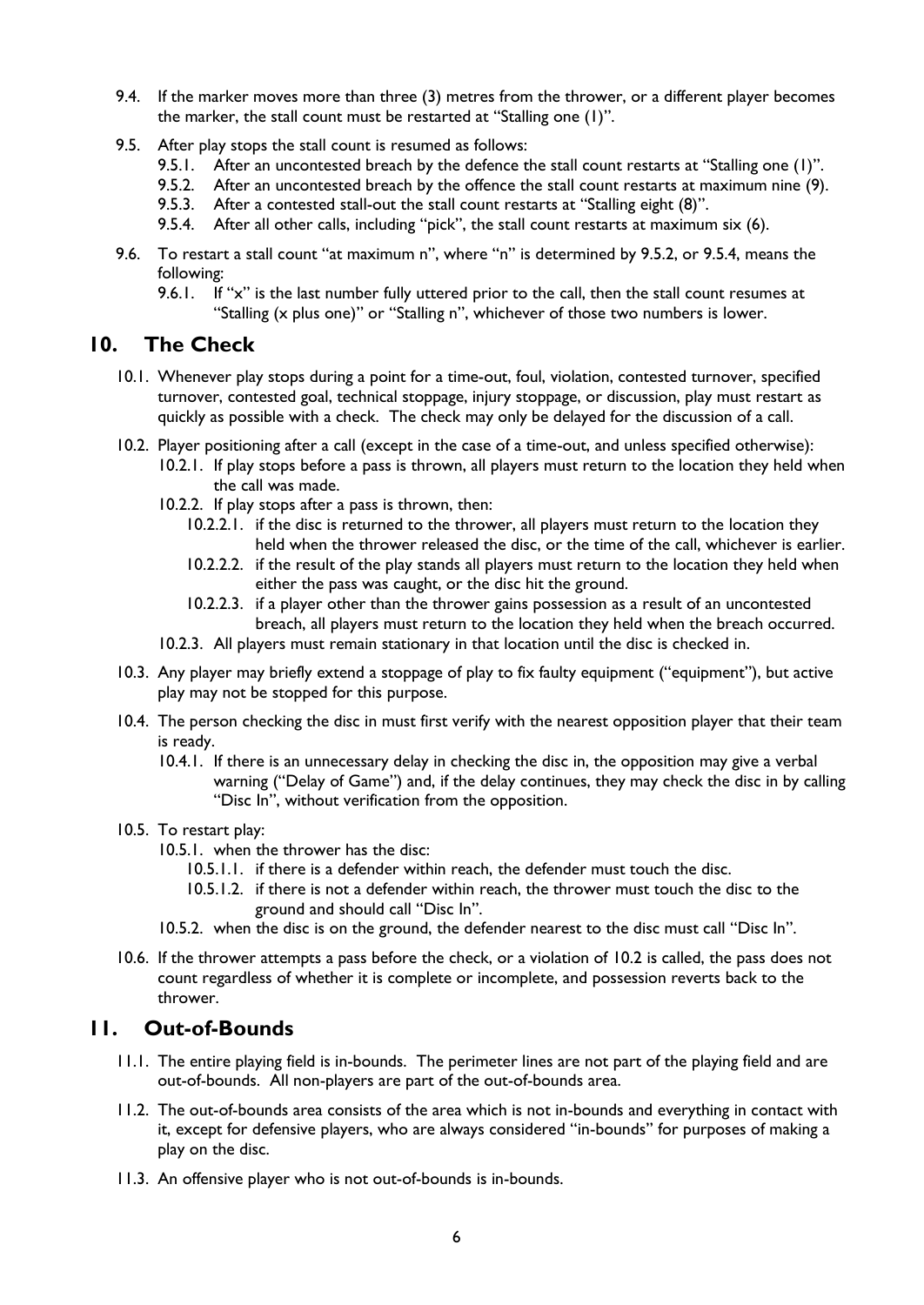- 9.4. If the marker moves more than three (3) metres from the thrower, or a different player becomes the marker, the stall count must be restarted at "Stalling one (1)".
- <span id="page-5-0"></span>9.5. After play stops the stall count is resumed as follows:
	- 9.5.1. After an uncontested breach by the defence the stall count restarts at "Stalling one (1)".
	- 9.5.2. After an uncontested breach by the offence the stall count restarts at maximum nine (9).
	- 9.5.3. After a contested stall-out the stall count restarts at "Stalling eight (8)".
	- 9.5.4. After all other calls, including "pick", the stall count restarts at maximum six (6).
- <span id="page-5-3"></span><span id="page-5-1"></span>9.6. To restart a stall count "at maximum n", where "n" is determined by [9.5.2,](#page-5-0) or [9.5.4,](#page-5-1) means the following:
	- 9.6.1. If "x" is the last number fully uttered prior to the call, then the stall count resumes at "Stalling (x plus one)" or "Stalling n", whichever of those two numbers is lower.

#### **10. The Check**

- 10.1. Whenever play stops during a point for a time-out, foul, violation, contested turnover, specified turnover, contested goal, technical stoppage, injury stoppage, or discussion, play must restart as quickly as possible with a check. The check may only be delayed for the discussion of a call.
- <span id="page-5-2"></span>10.2. Player positioning after a call (except in the case of a time-out, and unless specified otherwise):
	- 10.2.1. If play stops before a pass is thrown, all players must return to the location they held when the call was made.
	- 10.2.2. If play stops after a pass is thrown, then:
		- 10.2.2.1. if the disc is returned to the thrower, all players must return to the location they held when the thrower released the disc, or the time of the call, whichever is earlier.
		- 10.2.2.2. if the result of the play stands all players must return to the location they held when either the pass was caught, or the disc hit the ground.
		- 10.2.2.3. if a player other than the thrower gains possession as a result of an uncontested breach, all players must return to the location they held when the breach occurred.
	- 10.2.3. All players must remain stationary in that location until the disc is checked in.
- 10.3. Any player may briefly extend a stoppage of play to fix faulty equipment ("equipment"), but active play may not be stopped for this purpose.
- 10.4. The person checking the disc in must first verify with the nearest opposition player that their team is ready.
	- 10.4.1. If there is an unnecessary delay in checking the disc in, the opposition may give a verbal warning ("Delay of Game") and, if the delay continues, they may check the disc in by calling "Disc In", without verification from the opposition.

#### 10.5. To restart play:

- 10.5.1. when the thrower has the disc:
	- 10.5.1.1. if there is a defender within reach, the defender must touch the disc.
	- 10.5.1.2. if there is not a defender within reach, the thrower must touch the disc to the ground and should call "Disc In".
- 10.5.2. when the disc is on the ground, the defender nearest to the disc must call "Disc In".
- 10.6. If the thrower attempts a pass before the check, or a violation of [10.2](#page-5-2) is called, the pass does not count regardless of whether it is complete or incomplete, and possession reverts back to the thrower.

# **11. Out-of-Bounds**

- 11.1. The entire playing field is in-bounds. The perimeter lines are not part of the playing field and are out-of-bounds. All non-players are part of the out-of-bounds area.
- 11.2. The out-of-bounds area consists of the area which is not in-bounds and everything in contact with it, except for defensive players, who are always considered "in-bounds" for purposes of making a play on the disc.
- 11.3. An offensive player who is not out-of-bounds is in-bounds.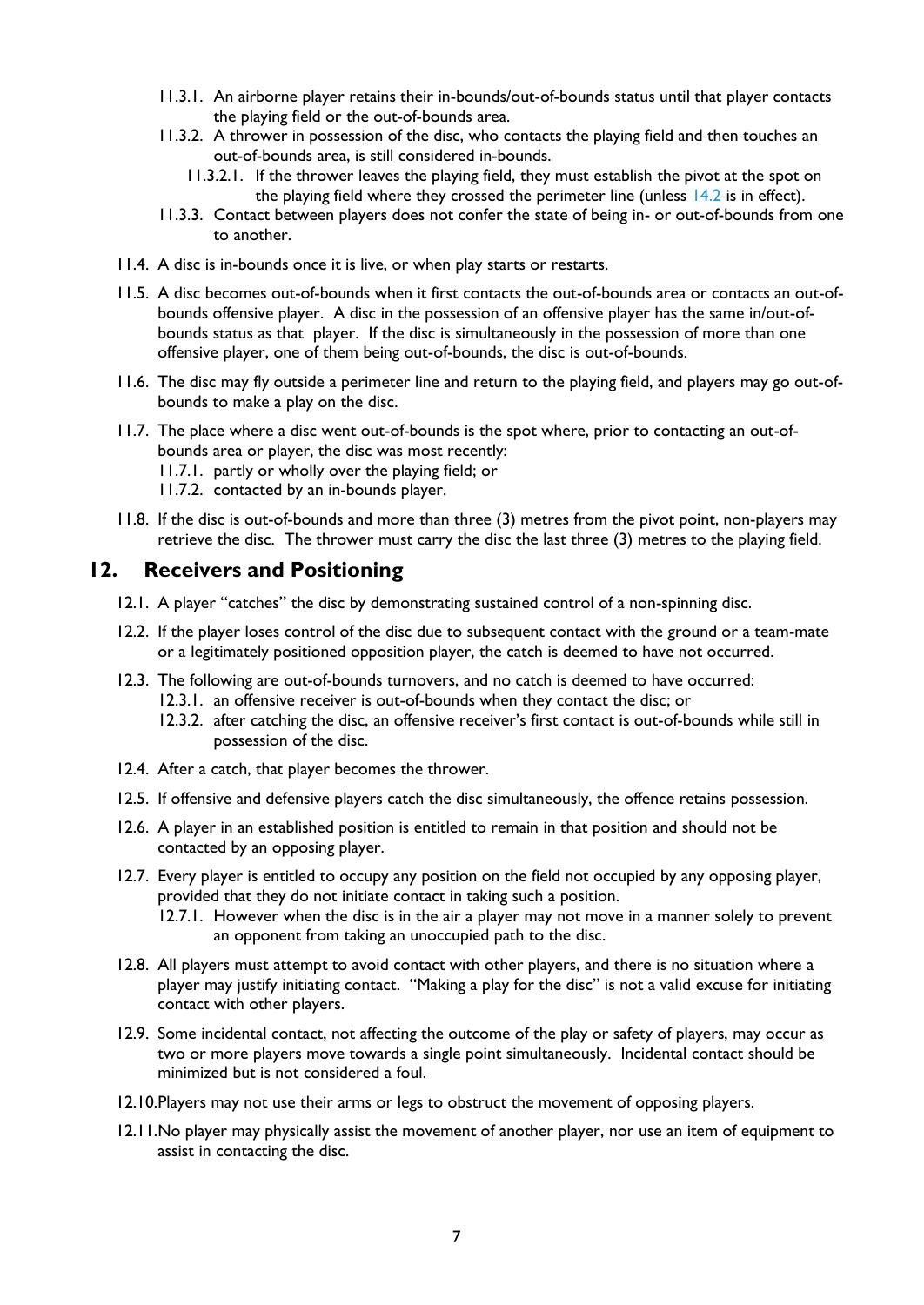- 11.3.1. An airborne player retains their in-bounds/out-of-bounds status until that player contacts the playing field or the out-of-bounds area.
- 11.3.2. A thrower in possession of the disc, who contacts the playing field and then touches an out-of-bounds area, is still considered in-bounds.
	- 11.3.2.1. If the thrower leaves the playing field, they must establish the pivot at the spot on the playing field where they crossed the perimeter line (unless  $14.2$  is in effect).
- 11.3.3. Contact between players does not confer the state of being in- or out-of-bounds from one to another.
- 11.4. A disc is in-bounds once it is live, or when play starts or restarts.
- 11.5. A disc becomes out-of-bounds when it first contacts the out-of-bounds area or contacts an out-ofbounds offensive player. A disc in the possession of an offensive player has the same in/out-ofbounds status as that player. If the disc is simultaneously in the possession of more than one offensive player, one of them being out-of-bounds, the disc is out-of-bounds.
- 11.6. The disc may fly outside a perimeter line and return to the playing field, and players may go out-ofbounds to make a play on the disc.
- <span id="page-6-0"></span>11.7. The place where a disc went out-of-bounds is the spot where, prior to contacting an out-ofbounds area or player, the disc was most recently:
	- 11.7.1. partly or wholly over the playing field; or
	- 11.7.2. contacted by an in-bounds player.
- 11.8. If the disc is out-of-bounds and more than three (3) metres from the pivot point, non-players may retrieve the disc. The thrower must carry the disc the last three (3) metres to the playing field.

#### <span id="page-6-1"></span>**12. Receivers and Positioning**

- 12.1. A player "catches" the disc by demonstrating sustained control of a non-spinning disc.
- <span id="page-6-2"></span>12.2. If the player loses control of the disc due to subsequent contact with the ground or a team-mate or a legitimately positioned opposition player, the catch is deemed to have not occurred.
- 12.3. The following are out-of-bounds turnovers, and no catch is deemed to have occurred:
	- 12.3.1. an offensive receiver is out-of-bounds when they contact the disc; or
	- 12.3.2. after catching the disc, an offensive receiver's first contact is out-of-bounds while still in possession of the disc.
- 12.4. After a catch, that player becomes the thrower.
- 12.5. If offensive and defensive players catch the disc simultaneously, the offence retains possession.
- 12.6. A player in an established position is entitled to remain in that position and should not be contacted by an opposing player.
- 12.7. Every player is entitled to occupy any position on the field not occupied by any opposing player, provided that they do not initiate contact in taking such a position.
	- 12.7.1. However when the disc is in the air a player may not move in a manner solely to prevent an opponent from taking an unoccupied path to the disc.
- 12.8. All players must attempt to avoid contact with other players, and there is no situation where a player may justify initiating contact. "Making a play for the disc" is not a valid excuse for initiating contact with other players.
- 12.9. Some incidental contact, not affecting the outcome of the play or safety of players, may occur as two or more players move towards a single point simultaneously. Incidental contact should be minimized but is not considered a foul.
- 12.10.Players may not use their arms or legs to obstruct the movement of opposing players.
- 12.11.No player may physically assist the movement of another player, nor use an item of equipment to assist in contacting the disc.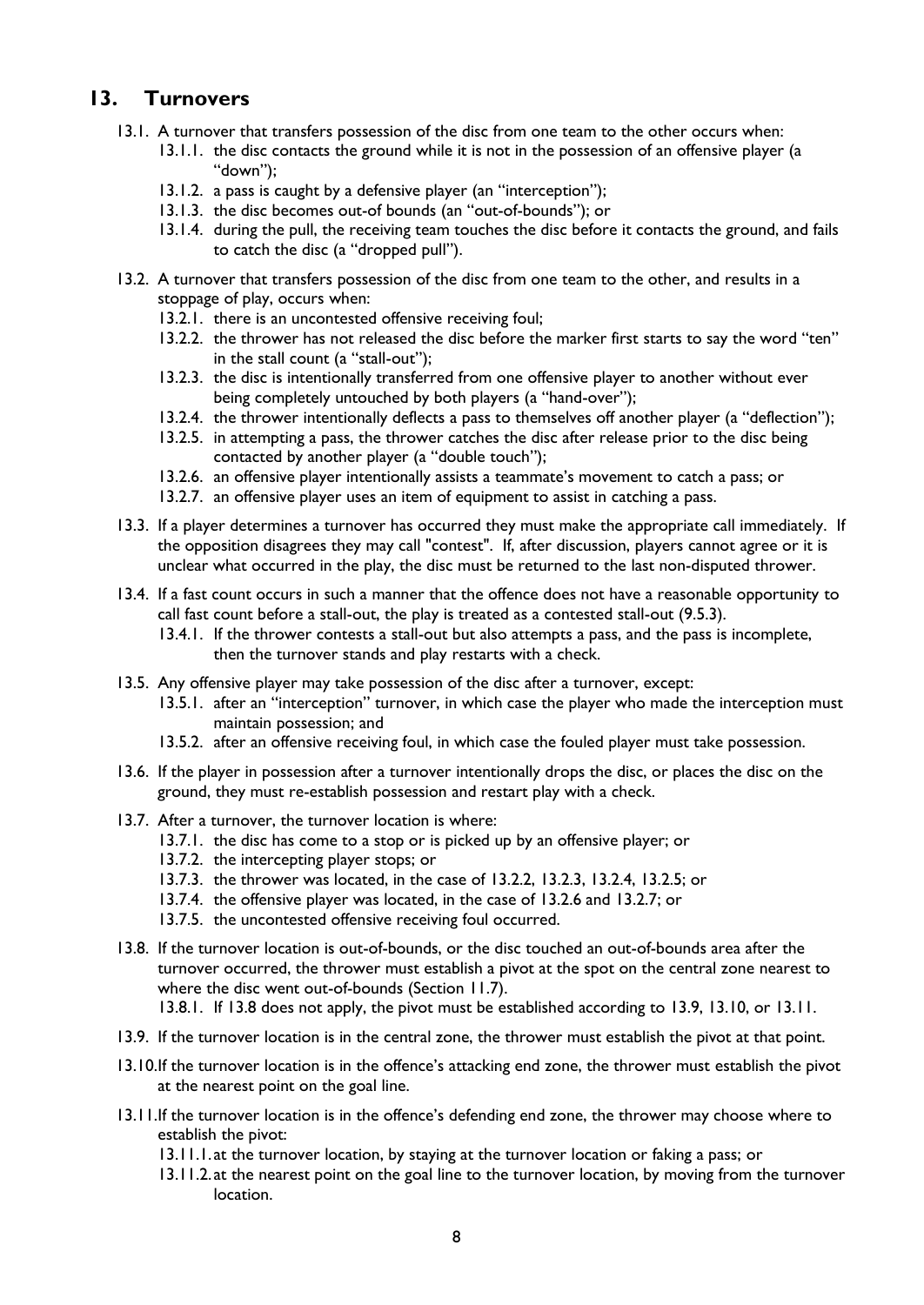# **13. Turnovers**

- 13.1. A turnover that transfers possession of the disc from one team to the other occurs when:
	- 13.1.1. the disc contacts the ground while it is not in the possession of an offensive player (a "down");
	- 13.1.2. a pass is caught by a defensive player (an "interception");
	- 13.1.3. the disc becomes out-of bounds (an "out-of-bounds"); or
	- 13.1.4. during the pull, the receiving team touches the disc before it contacts the ground, and fails to catch the disc (a "dropped pull").
- <span id="page-7-1"></span><span id="page-7-0"></span>13.2. A turnover that transfers possession of the disc from one team to the other, and results in a stoppage of play, occurs when:
	- 13.2.1. there is an uncontested offensive receiving foul;
	- 13.2.2. the thrower has not released the disc before the marker first starts to say the word "ten" in the stall count (a "stall-out");
	- 13.2.3. the disc is intentionally transferred from one offensive player to another without ever being completely untouched by both players (a "hand-over");
	- 13.2.4. the thrower intentionally deflects a pass to themselves off another player (a "deflection");
	- 13.2.5. in attempting a pass, the thrower catches the disc after release prior to the disc being contacted by another player (a "double touch");
	- 13.2.6. an offensive player intentionally assists a teammate's movement to catch a pass; or
	- 13.2.7. an offensive player uses an item of equipment to assist in catching a pass.
- <span id="page-7-5"></span><span id="page-7-4"></span><span id="page-7-3"></span><span id="page-7-2"></span>13.3. If a player determines a turnover has occurred they must make the appropriate call immediately. If the opposition disagrees they may call "contest". If, after discussion, players cannot agree or it is unclear what occurred in the play, the disc must be returned to the last non-disputed thrower.
- 13.4. If a fast count occurs in such a manner that the offence does not have a reasonable opportunity to call fast count before a stall-out, the play is treated as a contested stall-out [\(9.5.3\)](#page-5-3).
	- 13.4.1. If the thrower contests a stall-out but also attempts a pass, and the pass is incomplete, then the turnover stands and play restarts with a check.
- 13.5. Any offensive player may take possession of the disc after a turnover, except:
	- 13.5.1. after an "interception" turnover, in which case the player who made the interception must maintain possession; and
	- 13.5.2. after an offensive receiving foul, in which case the fouled player must take possession.
- 13.6. If the player in possession after a turnover intentionally drops the disc, or places the disc on the ground, they must re-establish possession and restart play with a check.
- 13.7. After a turnover, the turnover location is where:
	- 13.7.1. the disc has come to a stop or is picked up by an offensive player; or
	- 13.7.2. the intercepting player stops; or
	- 13.7.3. the thrower was located, in the case of [13.2.2,](#page-7-0) [13.2.3,](#page-7-1) [13.2.4,](#page-7-2) [13.2.5;](#page-7-3) or
	- 13.7.4. the offensive player was located, in the case of [13.2.6](#page-7-4) and [13.2.7;](#page-7-5) or
	- 13.7.5. the uncontested offensive receiving foul occurred.
- <span id="page-7-6"></span>13.8. If the turnover location is out-of-bounds, or the disc touched an out-of-bounds area after the turnover occurred, the thrower must establish a pivot at the spot on the central zone nearest to where the disc went out-of-bounds (Section [11.7\)](#page-6-0). 13.8.1. If [13.8](#page-7-6) does not apply, the pivot must be established according to [13.9,](#page-7-7) [13.10,](#page-7-8) or [13.11.](#page-7-9)
- <span id="page-7-7"></span>13.9. If the turnover location is in the central zone, the thrower must establish the pivot at that point.
- <span id="page-7-8"></span>13.10.If the turnover location is in the offence's attacking end zone, the thrower must establish the pivot at the nearest point on the goal line.
- <span id="page-7-9"></span>13.11.If the turnover location is in the offence's defending end zone, the thrower may choose where to establish the pivot:
	- 13.11.1. at the turnover location, by staying at the turnover location or faking a pass; or
	- 13.11.2. at the nearest point on the goal line to the turnover location, by moving from the turnover location.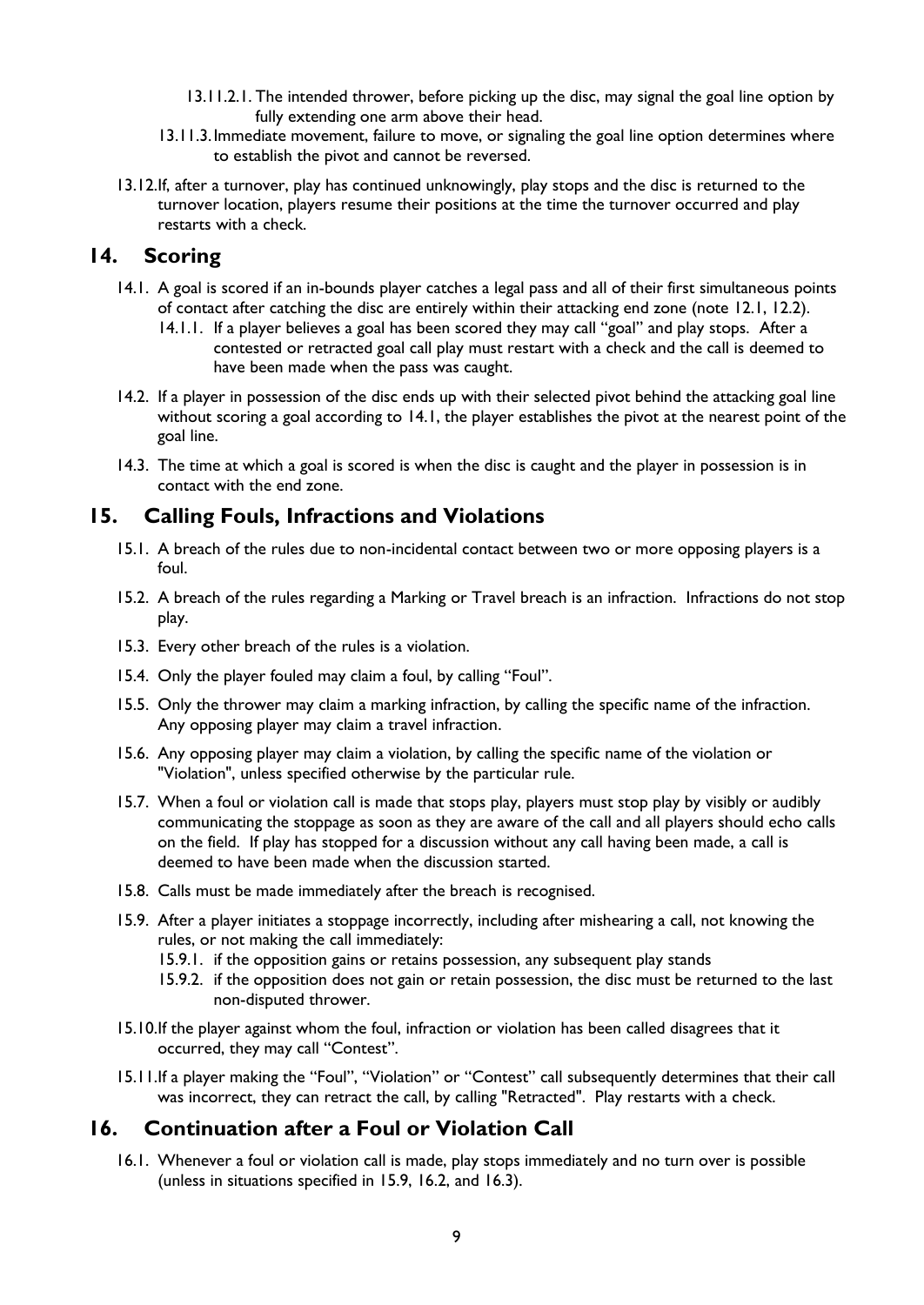- 13.11.2.1. The intended thrower, before picking up the disc, may signal the goal line option by fully extending one arm above their head.
- 13.11.3.Immediate movement, failure to move, or signaling the goal line option determines where to establish the pivot and cannot be reversed.
- 13.12.If, after a turnover, play has continued unknowingly, play stops and the disc is returned to the turnover location, players resume their positions at the time the turnover occurred and play restarts with a check.

#### <span id="page-8-1"></span>**14. Scoring**

- 14.1. A goal is scored if an in-bounds player catches a legal pass and all of their first simultaneous points of contact after catching the disc are entirely within their attacking end zone (note [12.1,](#page-6-1) [12.2\)](#page-6-2).
	- 14.1.1. If a player believes a goal has been scored they may call "goal" and play stops. After a contested or retracted goal call play must restart with a check and the call is deemed to have been made when the pass was caught.
- <span id="page-8-0"></span>14.2. If a player in possession of the disc ends up with their selected pivot behind the attacking goal line without scoring a goal according to [14.1,](#page-8-1) the player establishes the pivot at the nearest point of the goal line.
- 14.3. The time at which a goal is scored is when the disc is caught and the player in possession is in contact with the end zone.

## **15. Calling Fouls, Infractions and Violations**

- 15.1. A breach of the rules due to non-incidental contact between two or more opposing players is a foul.
- 15.2. A breach of the rules regarding a Marking or Travel breach is an infraction. Infractions do not stop play.
- 15.3. Every other breach of the rules is a violation.
- 15.4. Only the player fouled may claim a foul, by calling "Foul".
- 15.5. Only the thrower may claim a marking infraction, by calling the specific name of the infraction. Any opposing player may claim a travel infraction.
- 15.6. Any opposing player may claim a violation, by calling the specific name of the violation or "Violation", unless specified otherwise by the particular rule.
- 15.7. When a foul or violation call is made that stops play, players must stop play by visibly or audibly communicating the stoppage as soon as they are aware of the call and all players should echo calls on the field. If play has stopped for a discussion without any call having been made, a call is deemed to have been made when the discussion started.
- 15.8. Calls must be made immediately after the breach is recognised.
- <span id="page-8-2"></span>15.9. After a player initiates a stoppage incorrectly, including after mishearing a call, not knowing the rules, or not making the call immediately:
	- 15.9.1. if the opposition gains or retains possession, any subsequent play stands
	- 15.9.2. if the opposition does not gain or retain possession, the disc must be returned to the last non-disputed thrower.
- 15.10.If the player against whom the foul, infraction or violation has been called disagrees that it occurred, they may call "Contest".
- 15.11.If a player making the "Foul", "Violation" or "Contest" call subsequently determines that their call was incorrect, they can retract the call, by calling "Retracted". Play restarts with a check.

# **16. Continuation after a Foul or Violation Call**

16.1. Whenever a foul or violation call is made, play stops immediately and no turn over is possible (unless in situations specified in [15.9,](#page-8-2) [16.2,](#page-9-0) and [16.3\)](#page-9-1).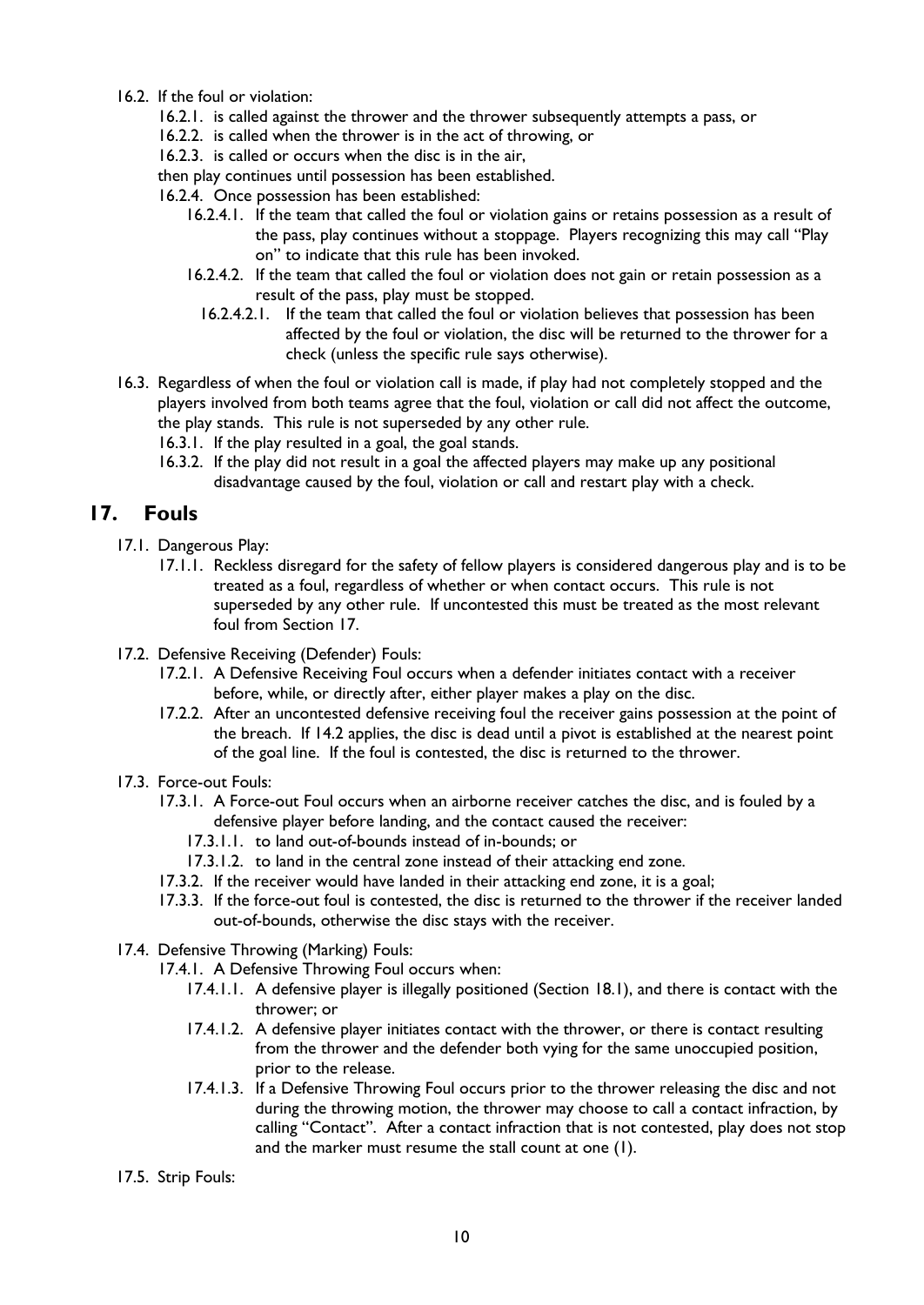- <span id="page-9-0"></span>16.2. If the foul or violation:
	- 16.2.1. is called against the thrower and the thrower subsequently attempts a pass, or
	- 16.2.2. is called when the thrower is in the act of throwing, or
	- 16.2.3. is called or occurs when the disc is in the air,

then play continues until possession has been established.

16.2.4. Once possession has been established:

- 16.2.4.1. If the team that called the foul or violation gains or retains possession as a result of the pass, play continues without a stoppage. Players recognizing this may call "Play on" to indicate that this rule has been invoked.
- 16.2.4.2. If the team that called the foul or violation does not gain or retain possession as a result of the pass, play must be stopped.
	- 16.2.4.2.1. If the team that called the foul or violation believes that possession has been affected by the foul or violation, the disc will be returned to the thrower for a check (unless the specific rule says otherwise).
- <span id="page-9-1"></span>16.3. Regardless of when the foul or violation call is made, if play had not completely stopped and the players involved from both teams agree that the foul, violation or call did not affect the outcome, the play stands. This rule is not superseded by any other rule.
	- 16.3.1. If the play resulted in a goal, the goal stands.
	- 16.3.2. If the play did not result in a goal the affected players may make up any positional disadvantage caused by the foul, violation or call and restart play with a check.

# **17. Fouls**

- 17.1. Dangerous Play:
	- 17.1.1. Reckless disregard for the safety of fellow players is considered dangerous play and is to be treated as a foul, regardless of whether or when contact occurs. This rule is not superseded by any other rule. If uncontested this must be treated as the most relevant foul from Section 17.
- 17.2. Defensive Receiving (Defender) Fouls:
	- 17.2.1. A Defensive Receiving Foul occurs when a defender initiates contact with a receiver before, while, or directly after, either player makes a play on the disc.
	- 17.2.2. After an uncontested defensive receiving foul the receiver gains possession at the point of the breach. If [14.2](#page-8-0) applies, the disc is dead until a pivot is established at the nearest point of the goal line. If the foul is contested, the disc is returned to the thrower.
- 17.3. Force-out Fouls:
	- 17.3.1. A Force-out Foul occurs when an airborne receiver catches the disc, and is fouled by a defensive player before landing, and the contact caused the receiver:
		- 17.3.1.1. to land out-of-bounds instead of in-bounds; or
		- 17.3.1.2. to land in the central zone instead of their attacking end zone.
	- 17.3.2. If the receiver would have landed in their attacking end zone, it is a goal;
	- 17.3.3. If the force-out foul is contested, the disc is returned to the thrower if the receiver landed out-of-bounds, otherwise the disc stays with the receiver.
- 17.4. Defensive Throwing (Marking) Fouls:
	- 17.4.1. A Defensive Throwing Foul occurs when:
		- 17.4.1.1. A defensive player is illegally positioned (Section [18.1\)](#page-10-0), and there is contact with the thrower; or
		- 17.4.1.2. A defensive player initiates contact with the thrower, or there is contact resulting from the thrower and the defender both vying for the same unoccupied position, prior to the release.
		- 17.4.1.3. If a Defensive Throwing Foul occurs prior to the thrower releasing the disc and not during the throwing motion, the thrower may choose to call a contact infraction, by calling "Contact". After a contact infraction that is not contested, play does not stop and the marker must resume the stall count at one (1).

17.5. Strip Fouls: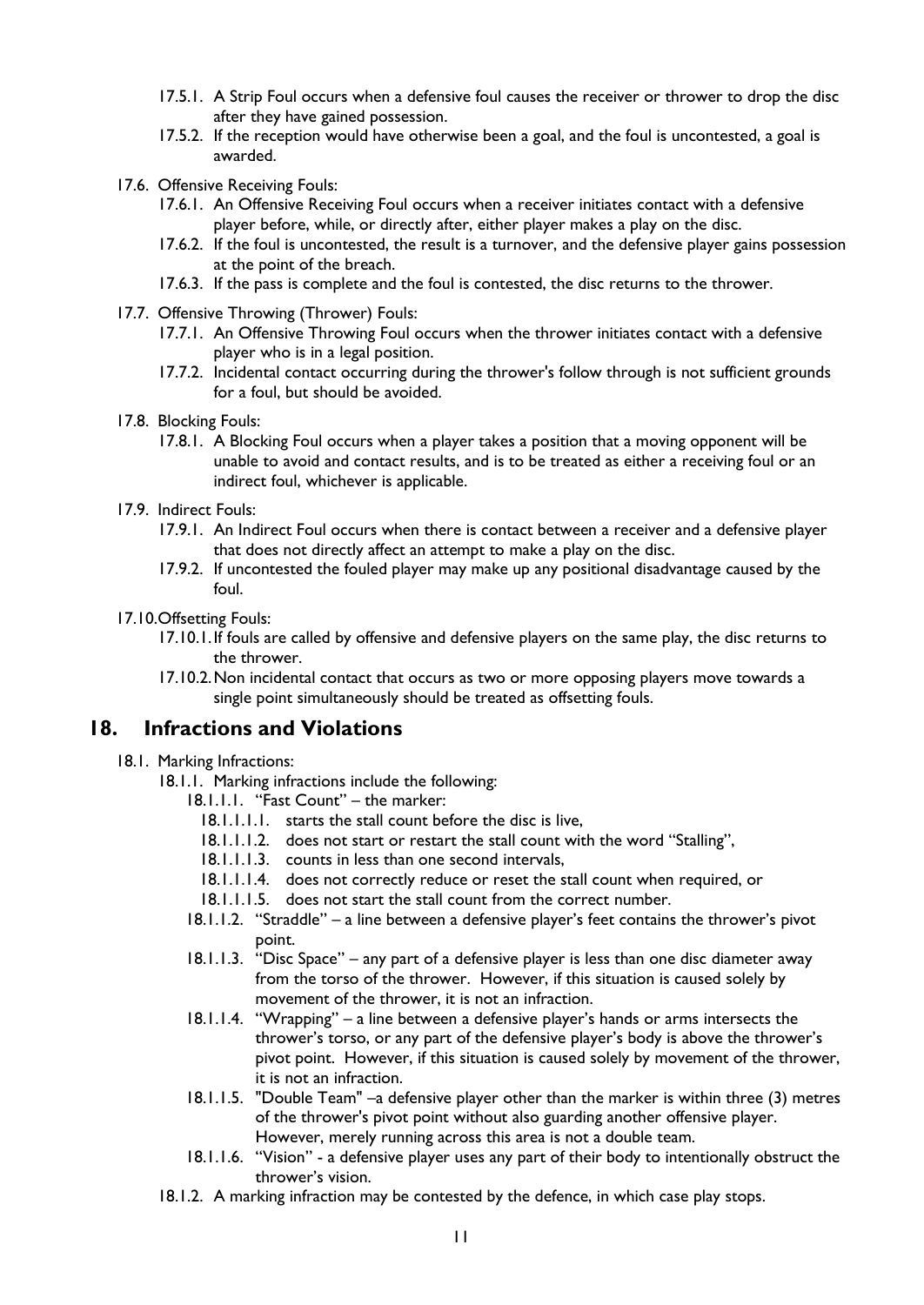- 17.5.1. A Strip Foul occurs when a defensive foul causes the receiver or thrower to drop the disc after they have gained possession.
- 17.5.2. If the reception would have otherwise been a goal, and the foul is uncontested, a goal is awarded.
- 17.6. Offensive Receiving Fouls:
	- 17.6.1. An Offensive Receiving Foul occurs when a receiver initiates contact with a defensive player before, while, or directly after, either player makes a play on the disc.
	- 17.6.2. If the foul is uncontested, the result is a turnover, and the defensive player gains possession at the point of the breach.
	- 17.6.3. If the pass is complete and the foul is contested, the disc returns to the thrower.
- 17.7. Offensive Throwing (Thrower) Fouls:
	- 17.7.1. An Offensive Throwing Foul occurs when the thrower initiates contact with a defensive player who is in a legal position.
	- 17.7.2. Incidental contact occurring during the thrower's follow through is not sufficient grounds for a foul, but should be avoided.
- 17.8. Blocking Fouls:
	- 17.8.1. A Blocking Foul occurs when a player takes a position that a moving opponent will be unable to avoid and contact results, and is to be treated as either a receiving foul or an indirect foul, whichever is applicable.
- 17.9. Indirect Fouls:
	- 17.9.1. An Indirect Foul occurs when there is contact between a receiver and a defensive player that does not directly affect an attempt to make a play on the disc.
	- 17.9.2. If uncontested the fouled player may make up any positional disadvantage caused by the foul.
- 17.10.Offsetting Fouls:
	- 17.10.1.If fouls are called by offensive and defensive players on the same play, the disc returns to the thrower.
	- 17.10.2.Non incidental contact that occurs as two or more opposing players move towards a single point simultaneously should be treated as offsetting fouls.

#### <span id="page-10-0"></span>**18. Infractions and Violations**

#### <span id="page-10-1"></span>18.1. Marking Infractions:

- 18.1.1. Marking infractions include the following:
	- 18.1.1.1. "Fast Count" the marker:
		- 18.1.1.1.1. starts the stall count before the disc is live,
		- 18.1.1.1.2. does not start or restart the stall count with the word "Stalling",
		- 18.1.1.1.3. counts in less than one second intervals,
		- 18.1.1.1.4. does not correctly reduce or reset the stall count when required, or
	- 18.1.1.1.5. does not start the stall count from the correct number.
	- 18.1.1.2. "Straddle" a line between a defensive player's feet contains the thrower's pivot point.
	- 18.1.1.3. "Disc Space" any part of a defensive player is less than one disc diameter away from the torso of the thrower. However, if this situation is caused solely by movement of the thrower, it is not an infraction.
	- 18.1.1.4. "Wrapping" a line between a defensive player's hands or arms intersects the thrower's torso, or any part of the defensive player's body is above the thrower's pivot point. However, if this situation is caused solely by movement of the thrower, it is not an infraction.
	- 18.1.1.5. "Double Team" –a defensive player other than the marker is within three (3) metres of the thrower's pivot point without also guarding another offensive player. However, merely running across this area is not a double team.
	- 18.1.1.6. "Vision" a defensive player uses any part of their body to intentionally obstruct the thrower's vision.
- 18.1.2. A marking infraction may be contested by the defence, in which case play stops.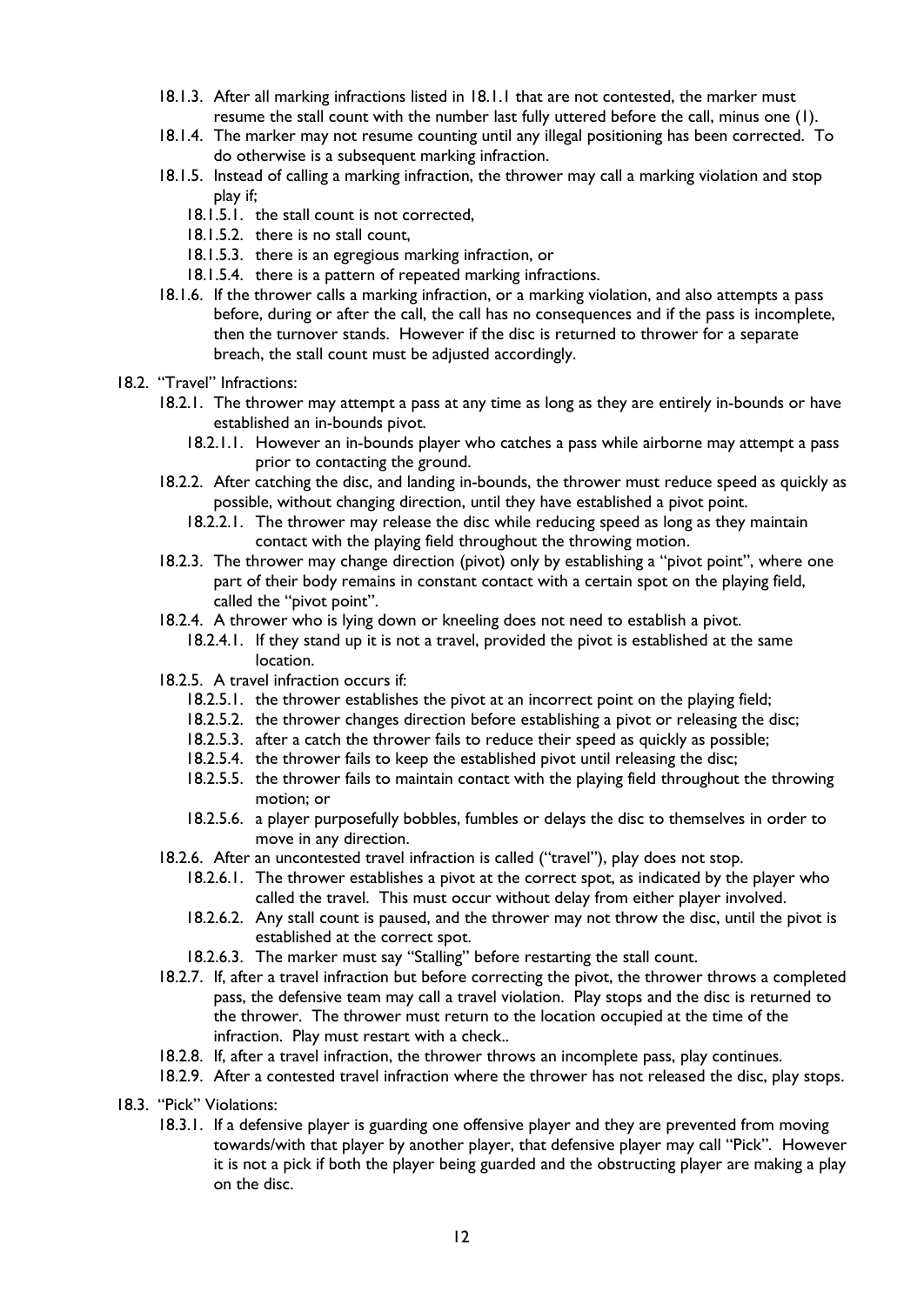- 18.1.3. After all marking infractions listed in [18.1.1](#page-10-1) that are not contested, the marker must resume the stall count with the number last fully uttered before the call, minus one (1).
- 18.1.4. The marker may not resume counting until any illegal positioning has been corrected. To do otherwise is a subsequent marking infraction.
- 18.1.5. Instead of calling a marking infraction, the thrower may call a marking violation and stop play if;
	- 18.1.5.1. the stall count is not corrected,
	- 18.1.5.2. there is no stall count,
	- 18.1.5.3. there is an egregious marking infraction, or
	- 18.1.5.4. there is a pattern of repeated marking infractions.
- 18.1.6. If the thrower calls a marking infraction, or a marking violation, and also attempts a pass before, during or after the call, the call has no consequences and if the pass is incomplete, then the turnover stands. However if the disc is returned to thrower for a separate breach, the stall count must be adjusted accordingly.
- 18.2. "Travel" Infractions:
	- 18.2.1. The thrower may attempt a pass at any time as long as they are entirely in-bounds or have established an in-bounds pivot.
		- 18.2.1.1. However an in-bounds player who catches a pass while airborne may attempt a pass prior to contacting the ground.
	- 18.2.2. After catching the disc, and landing in-bounds, the thrower must reduce speed as quickly as possible, without changing direction, until they have established a pivot point.
		- 18.2.2.1. The thrower may release the disc while reducing speed as long as they maintain contact with the playing field throughout the throwing motion.
	- 18.2.3. The thrower may change direction (pivot) only by establishing a "pivot point", where one part of their body remains in constant contact with a certain spot on the playing field, called the "pivot point".
	- 18.2.4. A thrower who is lying down or kneeling does not need to establish a pivot.
		- 18.2.4.1. If they stand up it is not a travel, provided the pivot is established at the same location.
	- 18.2.5. A travel infraction occurs if:
		- 18.2.5.1. the thrower establishes the pivot at an incorrect point on the playing field;
		- 18.2.5.2. the thrower changes direction before establishing a pivot or releasing the disc;
		- 18.2.5.3. after a catch the thrower fails to reduce their speed as quickly as possible;
		- 18.2.5.4. the thrower fails to keep the established pivot until releasing the disc;
		- 18.2.5.5. the thrower fails to maintain contact with the playing field throughout the throwing motion; or
		- 18.2.5.6. a player purposefully bobbles, fumbles or delays the disc to themselves in order to move in any direction.
	- 18.2.6. After an uncontested travel infraction is called ("travel"), play does not stop.
		- 18.2.6.1. The thrower establishes a pivot at the correct spot, as indicated by the player who called the travel. This must occur without delay from either player involved.
		- 18.2.6.2. Any stall count is paused, and the thrower may not throw the disc, until the pivot is established at the correct spot.
		- 18.2.6.3. The marker must say "Stalling" before restarting the stall count.
	- 18.2.7. If, after a travel infraction but before correcting the pivot, the thrower throws a completed pass, the defensive team may call a travel violation. Play stops and the disc is returned to the thrower. The thrower must return to the location occupied at the time of the infraction. Play must restart with a check..
	- 18.2.8. If, after a travel infraction, the thrower throws an incomplete pass, play continues.
	- 18.2.9. After a contested travel infraction where the thrower has not released the disc, play stops.
- 18.3. "Pick" Violations:
	- 18.3.1. If a defensive player is guarding one offensive player and they are prevented from moving towards/with that player by another player, that defensive player may call "Pick". However it is not a pick if both the player being guarded and the obstructing player are making a play on the disc.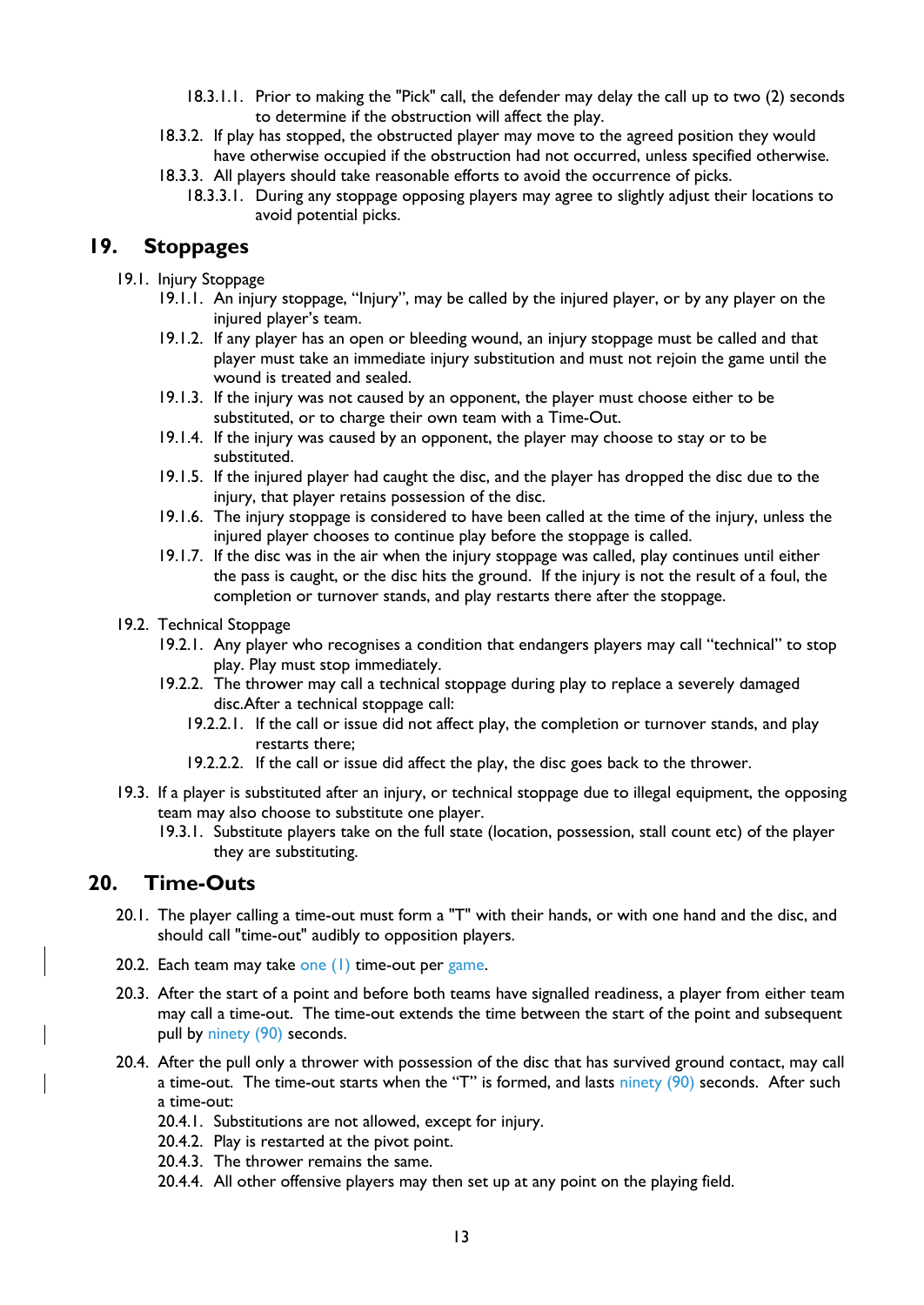- 18.3.1.1. Prior to making the "Pick" call, the defender may delay the call up to two (2) seconds to determine if the obstruction will affect the play.
- 18.3.2. If play has stopped, the obstructed player may move to the agreed position they would have otherwise occupied if the obstruction had not occurred, unless specified otherwise.
- 18.3.3. All players should take reasonable efforts to avoid the occurrence of picks.
	- 18.3.3.1. During any stoppage opposing players may agree to slightly adjust their locations to avoid potential picks.

#### **19. Stoppages**

- 19.1. Injury Stoppage
	- 19.1.1. An injury stoppage, "Injury", may be called by the injured player, or by any player on the injured player's team.
	- 19.1.2. If any player has an open or bleeding wound, an injury stoppage must be called and that player must take an immediate injury substitution and must not rejoin the game until the wound is treated and sealed.
	- 19.1.3. If the injury was not caused by an opponent, the player must choose either to be substituted, or to charge their own team with a Time-Out.
	- 19.1.4. If the injury was caused by an opponent, the player may choose to stay or to be substituted.
	- 19.1.5. If the injured player had caught the disc, and the player has dropped the disc due to the injury, that player retains possession of the disc.
	- 19.1.6. The injury stoppage is considered to have been called at the time of the injury, unless the injured player chooses to continue play before the stoppage is called.
	- 19.1.7. If the disc was in the air when the injury stoppage was called, play continues until either the pass is caught, or the disc hits the ground. If the injury is not the result of a foul, the completion or turnover stands, and play restarts there after the stoppage.
- 19.2. Technical Stoppage
	- 19.2.1. Any player who recognises a condition that endangers players may call "technical" to stop play. Play must stop immediately.
	- 19.2.2. The thrower may call a technical stoppage during play to replace a severely damaged disc.After a technical stoppage call:
		- 19.2.2.1. If the call or issue did not affect play, the completion or turnover stands, and play restarts there;
		- 19.2.2.2. If the call or issue did affect the play, the disc goes back to the thrower.
- 19.3. If a player is substituted after an injury, or technical stoppage due to illegal equipment, the opposing team may also choose to substitute one player.
	- 19.3.1. Substitute players take on the full state (location, possession, stall count etc) of the player they are substituting.

#### **20. Time-Outs**

- 20.1. The player calling a time-out must form a "T" with their hands, or with one hand and the disc, and should call "time-out" audibly to opposition players.
- 20.2. Each team may take one  $(1)$  time-out per game.
- 20.3. After the start of a point and before both teams have signalled readiness, a player from either team may call a time-out. The time-out extends the time between the start of the point and subsequent pull by ninety (90) seconds.
- 20.4. After the pull only a thrower with possession of the disc that has survived ground contact, may call a time-out. The time-out starts when the "T" is formed, and lasts ninety  $(90)$  seconds. After such a time-out:
	- 20.4.1. Substitutions are not allowed, except for injury.
	- 20.4.2. Play is restarted at the pivot point.
	- 20.4.3. The thrower remains the same.
	- 20.4.4. All other offensive players may then set up at any point on the playing field.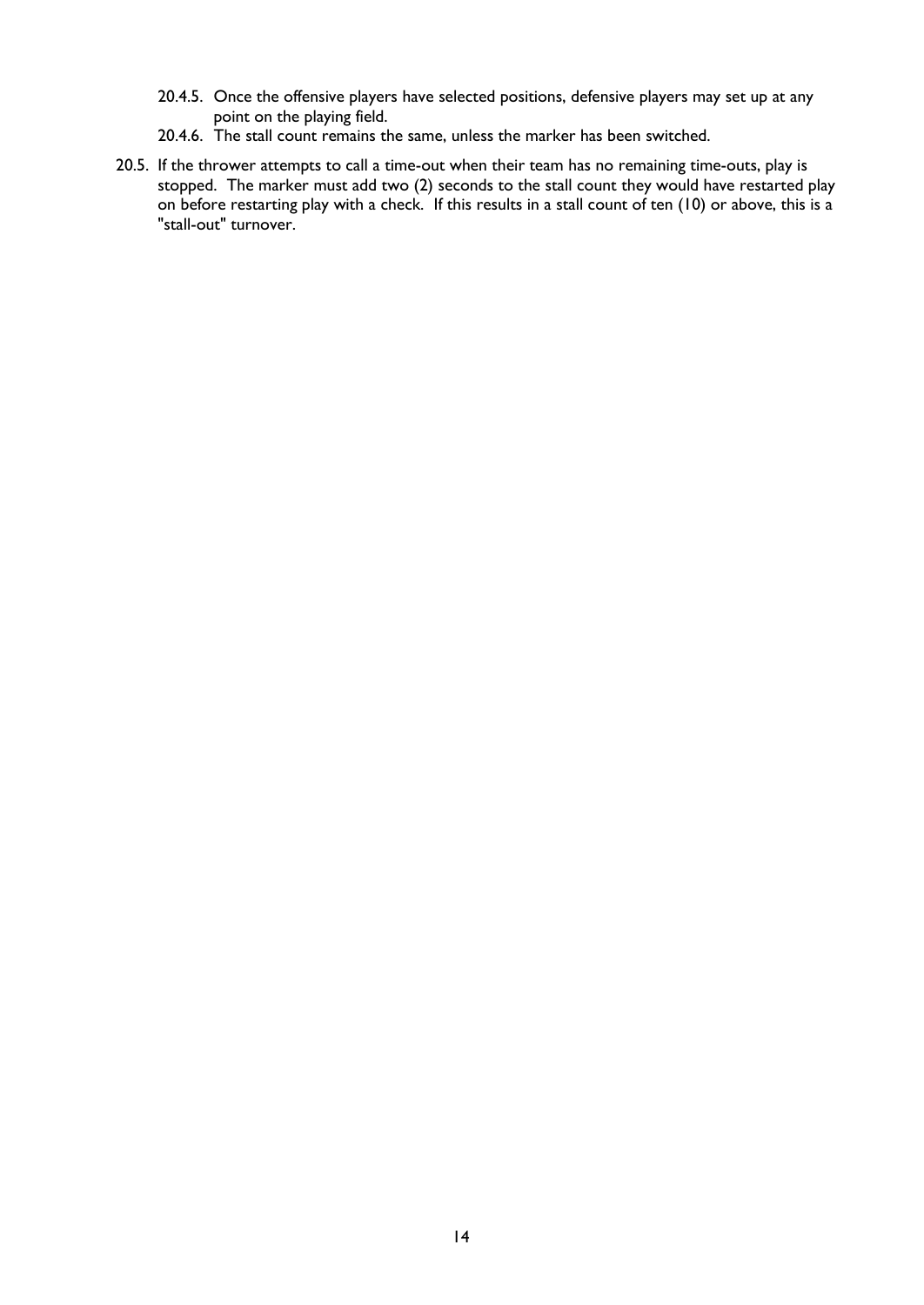- 20.4.5. Once the offensive players have selected positions, defensive players may set up at any point on the playing field.
- 20.4.6. The stall count remains the same, unless the marker has been switched.
- 20.5. If the thrower attempts to call a time-out when their team has no remaining time-outs, play is stopped. The marker must add two (2) seconds to the stall count they would have restarted play on before restarting play with a check. If this results in a stall count of ten (10) or above, this is a "stall-out" turnover.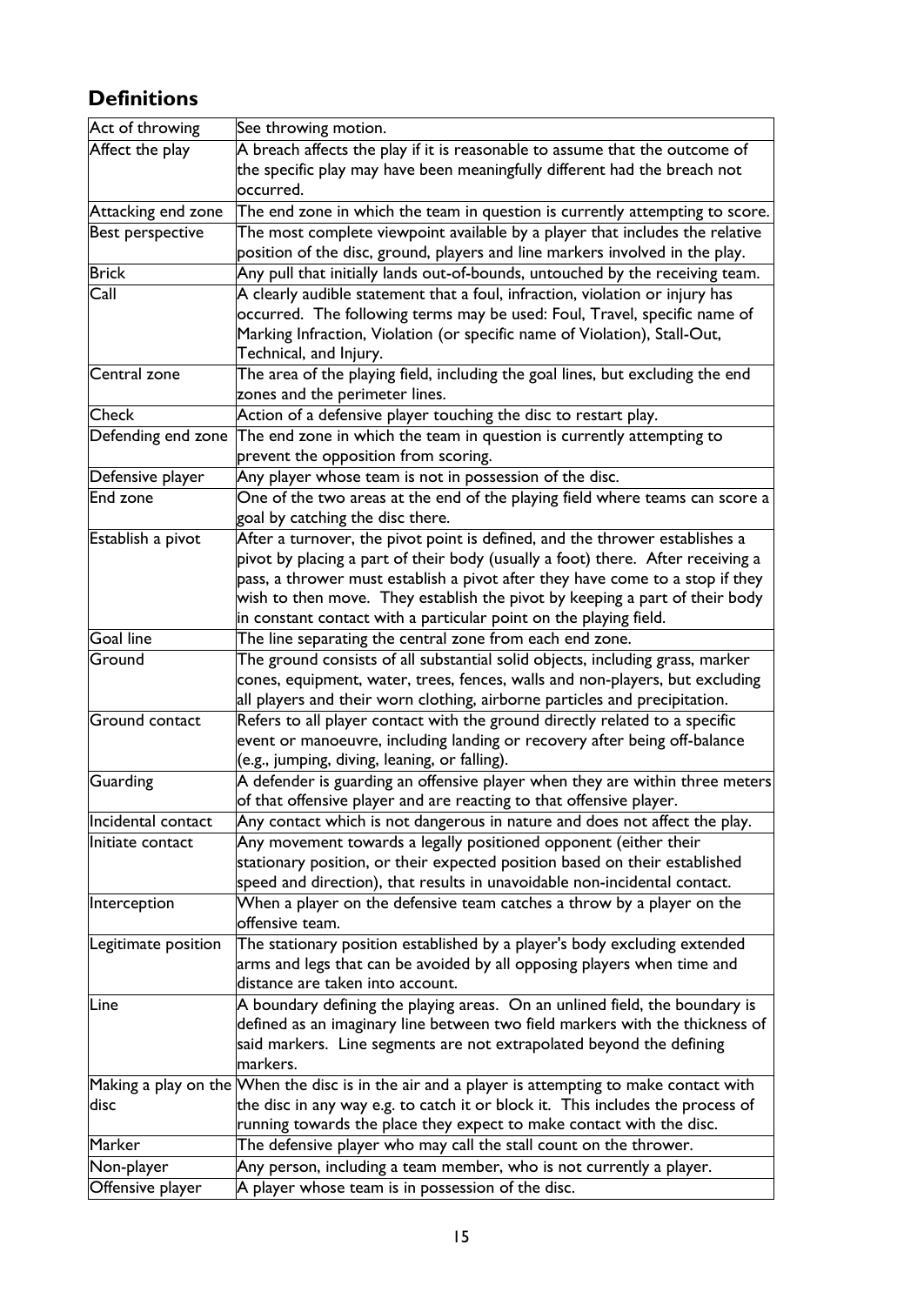# **Definitions**

| Act of throwing       | See throwing motion.                                                                                                                                    |
|-----------------------|---------------------------------------------------------------------------------------------------------------------------------------------------------|
| Affect the play       | A breach affects the play if it is reasonable to assume that the outcome of                                                                             |
|                       | the specific play may have been meaningfully different had the breach not                                                                               |
|                       | occurred.                                                                                                                                               |
| Attacking end zone    | The end zone in which the team in question is currently attempting to score.                                                                            |
| Best perspective      | The most complete viewpoint available by a player that includes the relative                                                                            |
|                       | position of the disc, ground, players and line markers involved in the play.                                                                            |
| <b>Brick</b>          | Any pull that initially lands out-of-bounds, untouched by the receiving team.                                                                           |
| Call                  | A clearly audible statement that a foul, infraction, violation or injury has                                                                            |
|                       | occurred. The following terms may be used: Foul, Travel, specific name of                                                                               |
|                       | Marking Infraction, Violation (or specific name of Violation), Stall-Out,                                                                               |
|                       | Technical, and Injury.                                                                                                                                  |
| Central zone          | The area of the playing field, including the goal lines, but excluding the end                                                                          |
|                       | zones and the perimeter lines.                                                                                                                          |
| Check                 | Action of a defensive player touching the disc to restart play.                                                                                         |
| Defending end zone    | The end zone in which the team in question is currently attempting to                                                                                   |
|                       | prevent the opposition from scoring.                                                                                                                    |
| Defensive player      | Any player whose team is not in possession of the disc.                                                                                                 |
| End zone              | One of the two areas at the end of the playing field where teams can score a                                                                            |
|                       | goal by catching the disc there.                                                                                                                        |
| Establish a pivot     | After a turnover, the pivot point is defined, and the thrower establishes a                                                                             |
|                       | pivot by placing a part of their body (usually a foot) there. After receiving a                                                                         |
|                       | pass, a thrower must establish a pivot after they have come to a stop if they                                                                           |
|                       | wish to then move. They establish the pivot by keeping a part of their body                                                                             |
|                       | in constant contact with a particular point on the playing field.                                                                                       |
| <b>Goal line</b>      | The line separating the central zone from each end zone.                                                                                                |
| Ground                | The ground consists of all substantial solid objects, including grass, marker                                                                           |
|                       | cones, equipment, water, trees, fences, walls and non-players, but excluding                                                                            |
|                       | all players and their worn clothing, airborne particles and precipitation.                                                                              |
| <b>Ground contact</b> | Refers to all player contact with the ground directly related to a specific                                                                             |
|                       | event or manoeuvre, including landing or recovery after being off-balance                                                                               |
|                       | (e.g., jumping, diving, leaning, or falling).                                                                                                           |
| <b>Guarding</b>       | A defender is guarding an offensive player when they are within three meters                                                                            |
|                       | of that offensive player and are reacting to that offensive player.                                                                                     |
| Incidental contact    | Any contact which is not dangerous in nature and does not affect the play.                                                                              |
| Initiate contact      | Any movement towards a legally positioned opponent (either their                                                                                        |
|                       | stationary position, or their expected position based on their established<br>speed and direction), that results in unavoidable non-incidental contact. |
| Interception          | When a player on the defensive team catches a throw by a player on the                                                                                  |
|                       | offensive team.                                                                                                                                         |
| Legitimate position   | The stationary position established by a player's body excluding extended                                                                               |
|                       | arms and legs that can be avoided by all opposing players when time and                                                                                 |
|                       | distance are taken into account.                                                                                                                        |
| <b>Line</b>           | A boundary defining the playing areas. On an unlined field, the boundary is                                                                             |
|                       | defined as an imaginary line between two field markers with the thickness of                                                                            |
|                       | said markers. Line segments are not extrapolated beyond the defining                                                                                    |
|                       | markers.                                                                                                                                                |
|                       | Making a play on the When the disc is in the air and a player is attempting to make contact with                                                        |
| disc                  | the disc in any way e.g. to catch it or block it. This includes the process of                                                                          |
|                       | running towards the place they expect to make contact with the disc.                                                                                    |
| Marker                | The defensive player who may call the stall count on the thrower.                                                                                       |
| Non-player            | Any person, including a team member, who is not currently a player.                                                                                     |
| Offensive player      | A player whose team is in possession of the disc.                                                                                                       |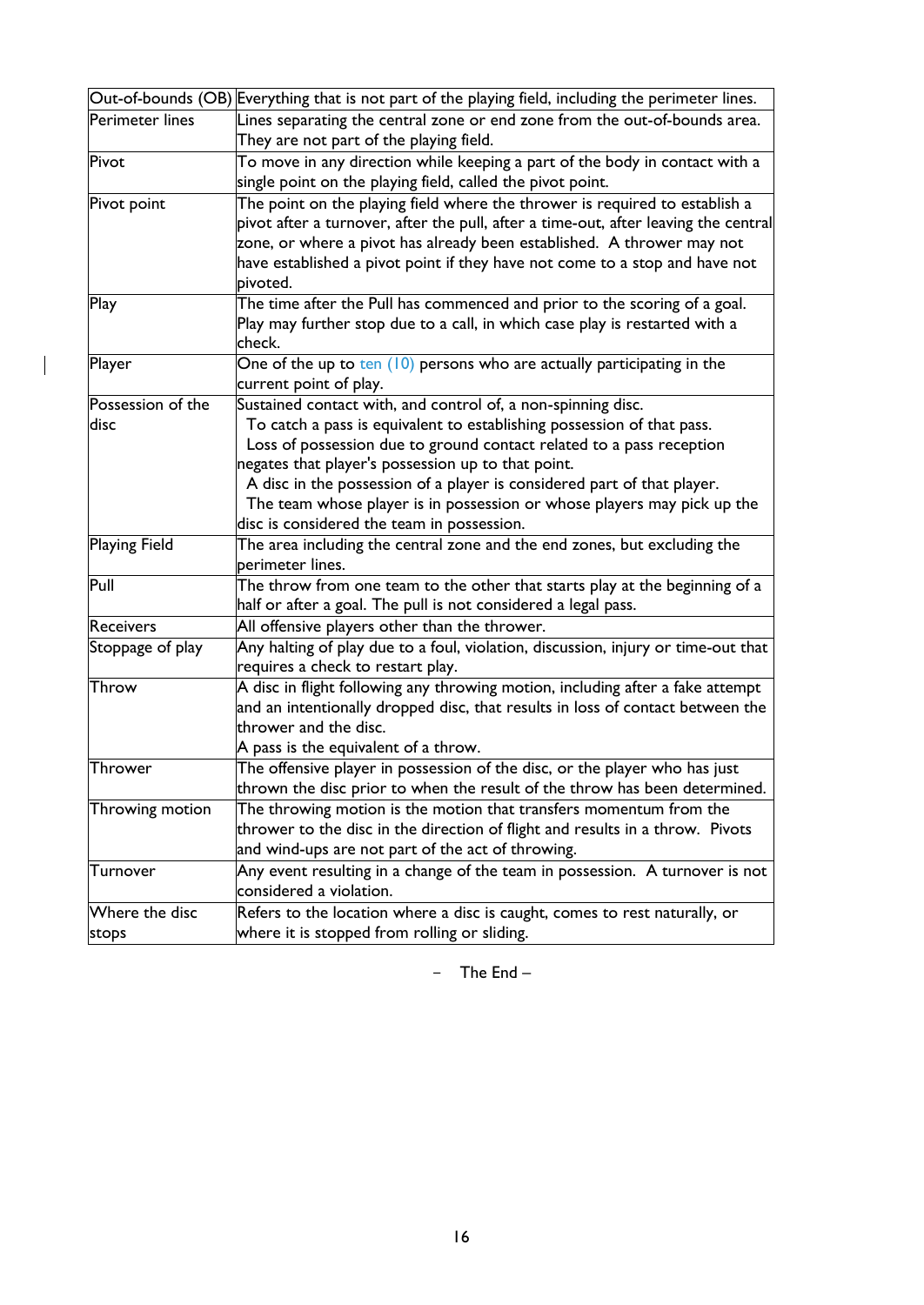| Out-of-bounds (OB) Everything that is not part of the playing field, including the perimeter lines. |                                                                                     |  |  |  |
|-----------------------------------------------------------------------------------------------------|-------------------------------------------------------------------------------------|--|--|--|
| Perimeter lines                                                                                     | Lines separating the central zone or end zone from the out-of-bounds area.          |  |  |  |
|                                                                                                     | They are not part of the playing field.                                             |  |  |  |
| Pivot                                                                                               | To move in any direction while keeping a part of the body in contact with a         |  |  |  |
|                                                                                                     | single point on the playing field, called the pivot point.                          |  |  |  |
| Pivot point                                                                                         | The point on the playing field where the thrower is required to establish a         |  |  |  |
|                                                                                                     | pivot after a turnover, after the pull, after a time-out, after leaving the central |  |  |  |
|                                                                                                     | zone, or where a pivot has already been established. A thrower may not              |  |  |  |
|                                                                                                     | have established a pivot point if they have not come to a stop and have not         |  |  |  |
|                                                                                                     | pivoted.                                                                            |  |  |  |
| Play                                                                                                | The time after the Pull has commenced and prior to the scoring of a goal.           |  |  |  |
|                                                                                                     | Play may further stop due to a call, in which case play is restarted with a         |  |  |  |
|                                                                                                     | check.                                                                              |  |  |  |
| Player                                                                                              | One of the up to ten (10) persons who are actually participating in the             |  |  |  |
|                                                                                                     | current point of play.                                                              |  |  |  |
| Possession of the                                                                                   | Sustained contact with, and control of, a non-spinning disc.                        |  |  |  |
| disc                                                                                                | To catch a pass is equivalent to establishing possession of that pass.              |  |  |  |
|                                                                                                     | Loss of possession due to ground contact related to a pass reception                |  |  |  |
|                                                                                                     | negates that player's possession up to that point.                                  |  |  |  |
|                                                                                                     | A disc in the possession of a player is considered part of that player.             |  |  |  |
|                                                                                                     | The team whose player is in possession or whose players may pick up the             |  |  |  |
|                                                                                                     | disc is considered the team in possession.                                          |  |  |  |
| <b>Playing Field</b>                                                                                | The area including the central zone and the end zones, but excluding the            |  |  |  |
|                                                                                                     | perimeter lines.                                                                    |  |  |  |
| Pull                                                                                                | The throw from one team to the other that starts play at the beginning of a         |  |  |  |
|                                                                                                     | half or after a goal. The pull is not considered a legal pass.                      |  |  |  |
| <b>Receivers</b>                                                                                    | All offensive players other than the thrower.                                       |  |  |  |
| Stoppage of play                                                                                    | Any halting of play due to a foul, violation, discussion, injury or time-out that   |  |  |  |
|                                                                                                     | requires a check to restart play.                                                   |  |  |  |
| Throw                                                                                               | A disc in flight following any throwing motion, including after a fake attempt      |  |  |  |
|                                                                                                     | and an intentionally dropped disc, that results in loss of contact between the      |  |  |  |
|                                                                                                     | thrower and the disc.                                                               |  |  |  |
|                                                                                                     | A pass is the equivalent of a throw.                                                |  |  |  |
| Thrower                                                                                             | The offensive player in possession of the disc, or the player who has just          |  |  |  |
|                                                                                                     | thrown the disc prior to when the result of the throw has been determined.          |  |  |  |
| Throwing motion                                                                                     | The throwing motion is the motion that transfers momentum from the                  |  |  |  |
|                                                                                                     | thrower to the disc in the direction of flight and results in a throw. Pivots       |  |  |  |
|                                                                                                     | and wind-ups are not part of the act of throwing.                                   |  |  |  |
| Turnover                                                                                            | Any event resulting in a change of the team in possession. A turnover is not        |  |  |  |
|                                                                                                     | considered a violation.                                                             |  |  |  |
| Where the disc                                                                                      | Refers to the location where a disc is caught, comes to rest naturally, or          |  |  |  |
| stops                                                                                               | where it is stopped from rolling or sliding.                                        |  |  |  |

 $\begin{array}{c} \hline \end{array}$ 

- The End –